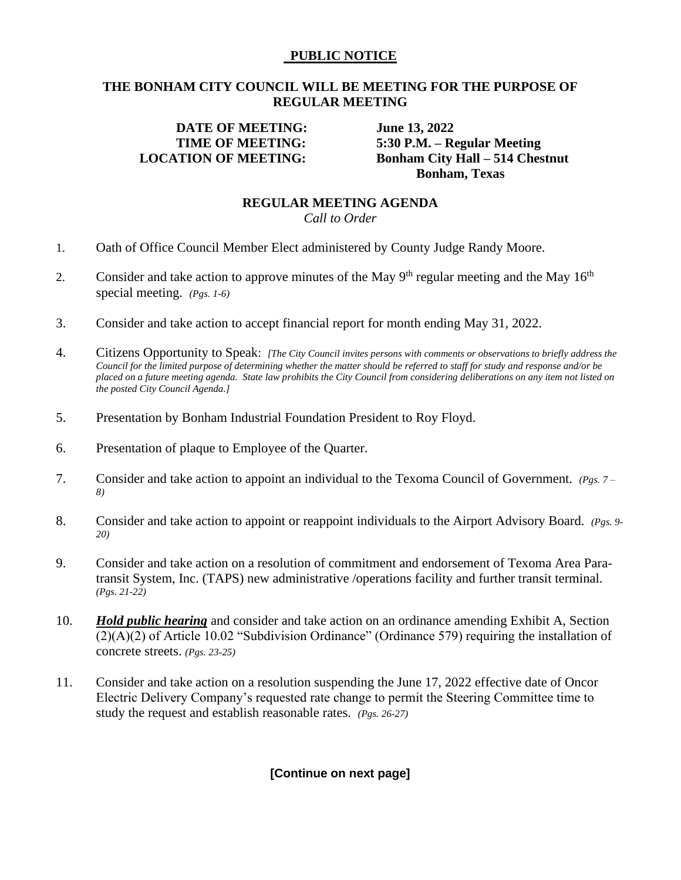## **PUBLIC NOTICE**

# **THE BONHAM CITY COUNCIL WILL BE MEETING FOR THE PURPOSE OF REGULAR MEETING**

# **DATE OF MEETING: June 13, 2022**

 **TIME OF MEETING: 5:30 P.M. – Regular Meeting LOCATION OF MEETING: Bonham City Hall – 514 Chestnut Bonham, Texas**

#### **REGULAR MEETING AGENDA**  *Call to Order*

- 1. Oath of Office Council Member Elect administered by County Judge Randy Moore.
- 2. Consider and take action to approve minutes of the May  $9<sup>th</sup>$  regular meeting and the May  $16<sup>th</sup>$ special meeting. *(Pgs. 1-6)*
- 3. Consider and take action to accept financial report for month ending May 31, 2022.
- 4. Citizens Opportunity to Speak: *[The City Council invites persons with comments or observations to briefly address the Council for the limited purpose of determining whether the matter should be referred to staff for study and response and/or be placed on a future meeting agenda. State law prohibits the City Council from considering deliberations on any item not listed on the posted City Council Agenda.]*
- 5. Presentation by Bonham Industrial Foundation President to Roy Floyd.
- 6. Presentation of plaque to Employee of the Quarter.
- 7. Consider and take action to appoint an individual to the Texoma Council of Government. *(Pgs. 7 – 8)*
- 8. Consider and take action to appoint or reappoint individuals to the Airport Advisory Board. *(Pgs. 9- 20)*
- 9. Consider and take action on a resolution of commitment and endorsement of Texoma Area Paratransit System, Inc. (TAPS) new administrative /operations facility and further transit terminal. *(Pgs. 21-22)*
- 10. *Hold public hearing* and consider and take action on an ordinance amending Exhibit A, Section (2)(A)(2) of Article 10.02 "Subdivision Ordinance" (Ordinance 579) requiring the installation of concrete streets. *(Pgs. 23-25)*
- 11. Consider and take action on a resolution suspending the June 17, 2022 effective date of Oncor Electric Delivery Company's requested rate change to permit the Steering Committee time to study the request and establish reasonable rates. *(Pgs. 26-27)*

**[Continue on next page]**